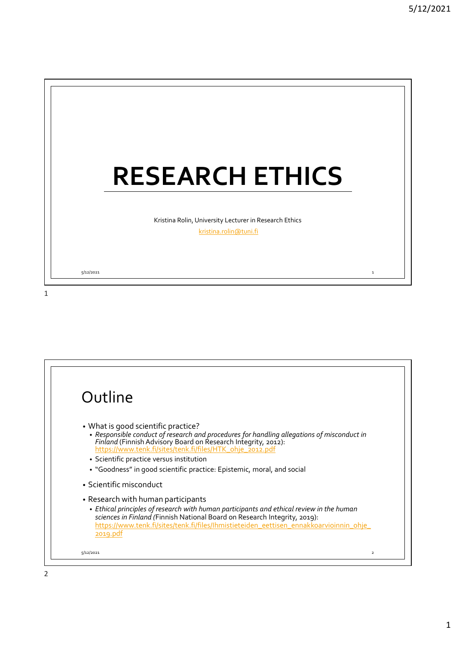

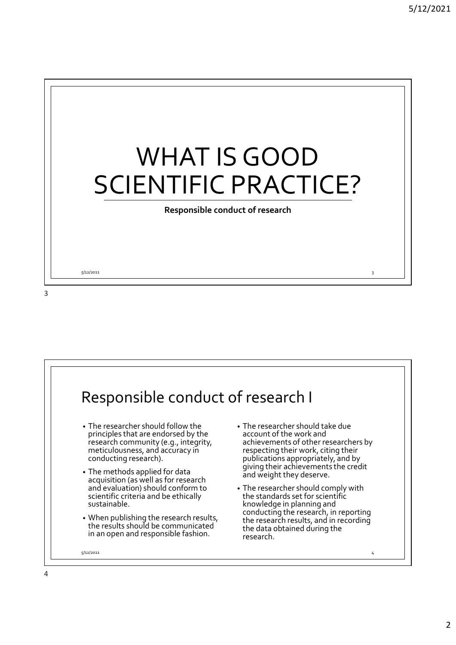

5/12/2021 3

3

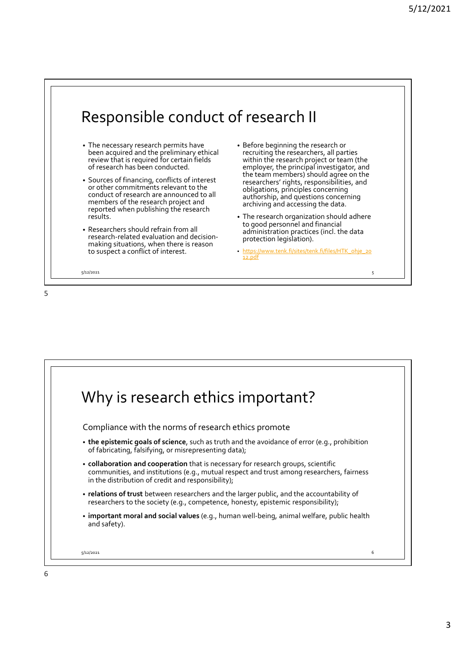

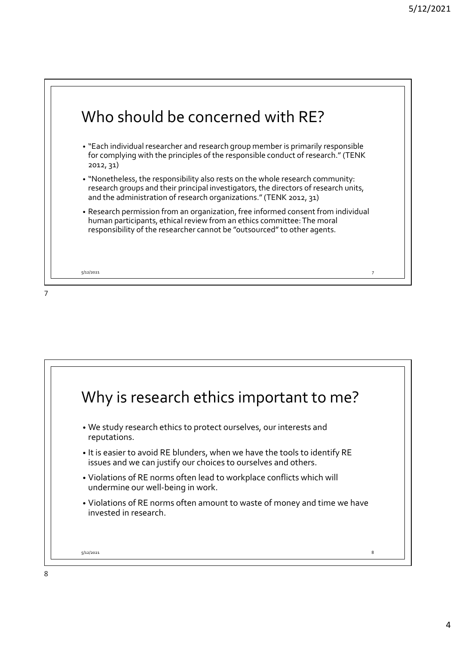

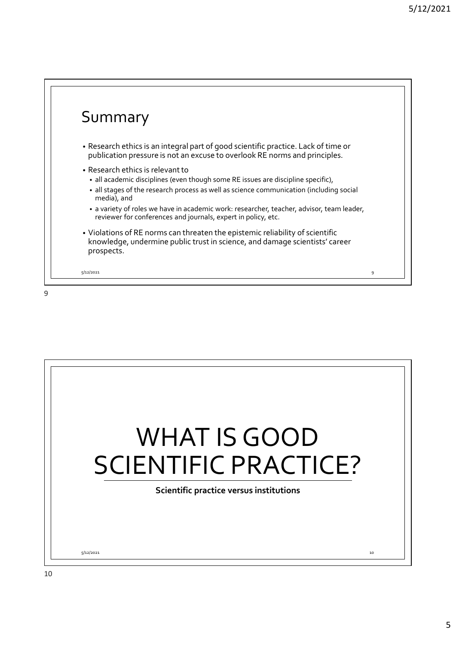

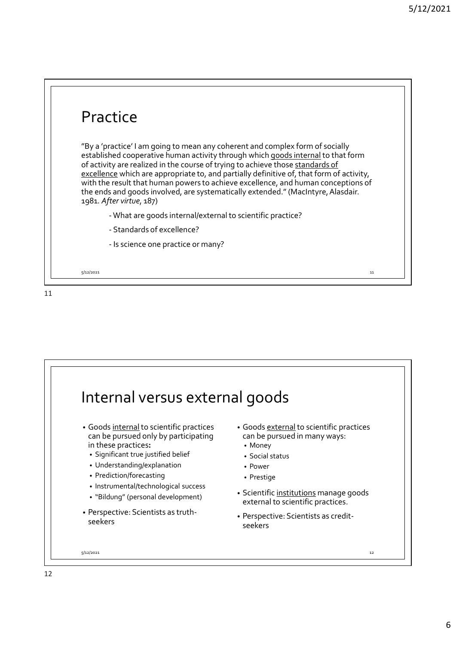## Practice "By a 'practice' I am going to mean any coherent and complex form of socially established cooperative human activity through which goods internal to that form 5/12/2021<br>
Practice<br>
"By a 'practice' I am going to mean any coherent and complex form of socially<br>
established cooperative human activity through which <u>goods internal to</u> that form<br>
of activity are realized in the course of activity are realized in the course of trying to achieve those standards of 5/:<br> **Practice**<br>
"By a 'practice' I am going to mean any coherent and complex form of socially<br>
established cooperative human activity through which <u>goods internal</u> to that form<br>
of activity are realized in the course of with the result that human powers to achieve excellence, and human conceptions of the ends and goods involved, are systematically extended." (MacIntyre, Alasdair. 1981. After virtue, 187) **COMETA Are goods** internal to mean any coherent and complex form of socially ehed cooperative human activity through which <u>goods internal</u> to that form they the rerealized in the course of trying to achieve those <u>standa</u> **COMETA CONTRON CONTROVER CONTROVER CONTROVER CONTROVER CONTENT (SCOPER AND ARREND CONTROVER THE SURFACT AND A THOM AND THE SURFACT CONTROVER (SCOPER AND A THE TRESULT AND A THE SURFACT CONTROVER CONTROVER CONTROVER CONTRO COMPLATE CE**<br> **COMPLATE ACCOMPTED ACCOMPTED ACCOMPTED ACCOLLATE ACCOLLATE ACCORD**<br> **CONDECONDENT ACCORDITY ACCORDITY**<br> **CONDECONDET ACCONDED ACCONDED ACCORDED ACCORDED ACCORDED ACCORDED AND ACCORDED ACCORDED AND ARE TO EX** 5/12/2021 11

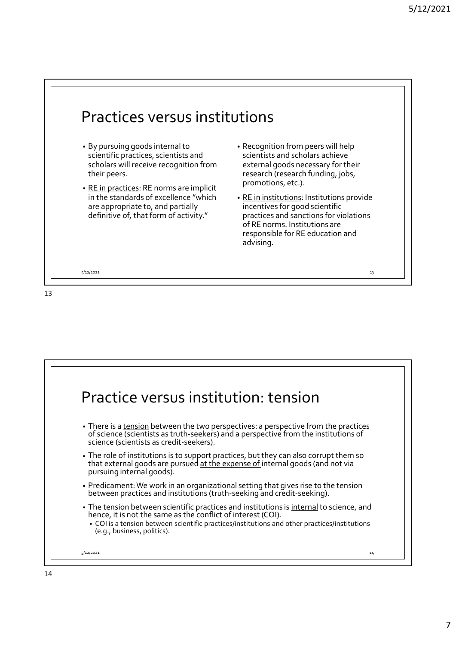

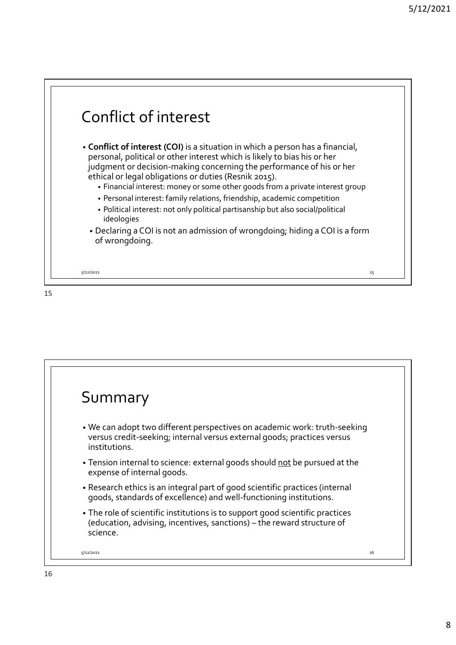



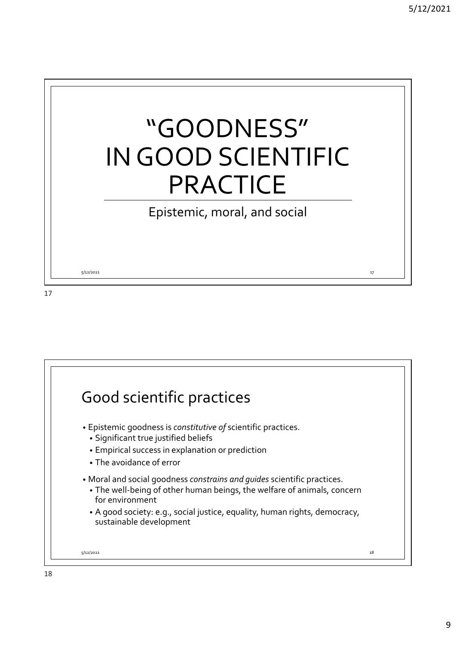

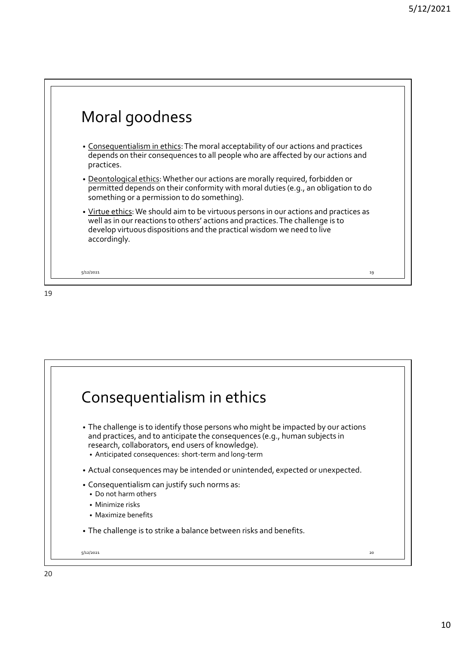

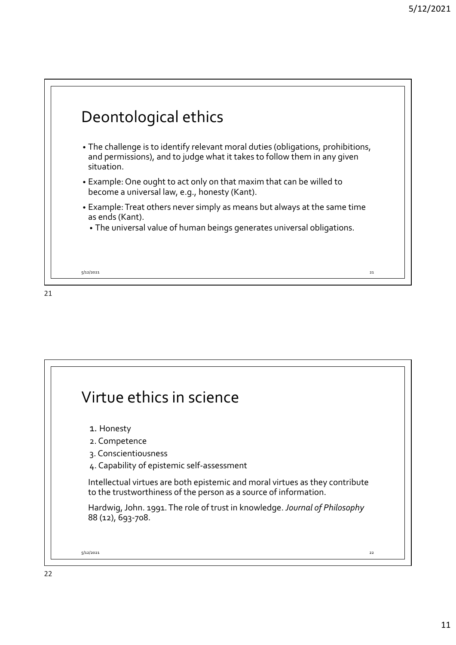

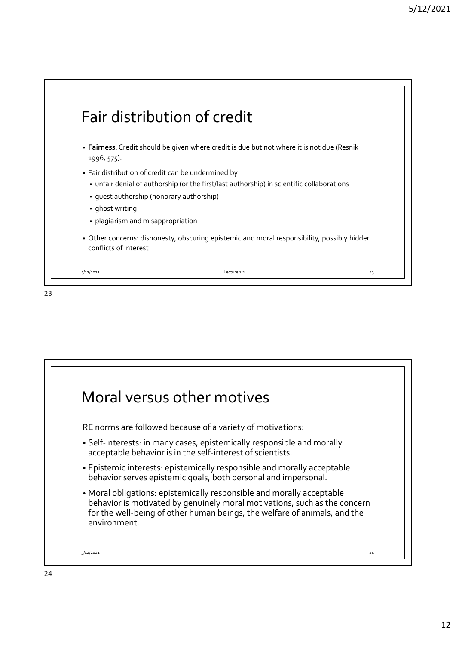

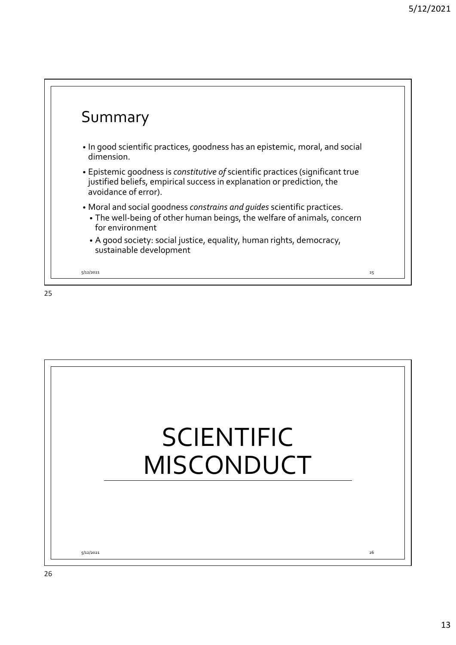

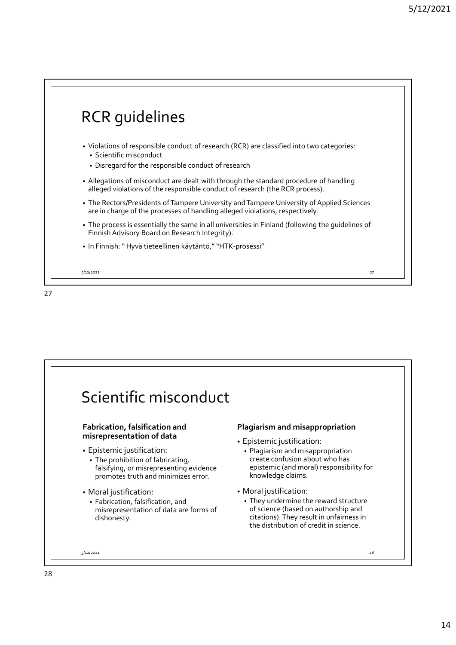

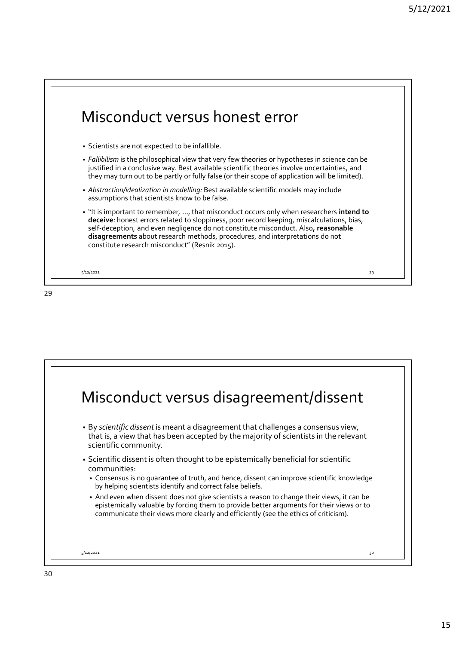



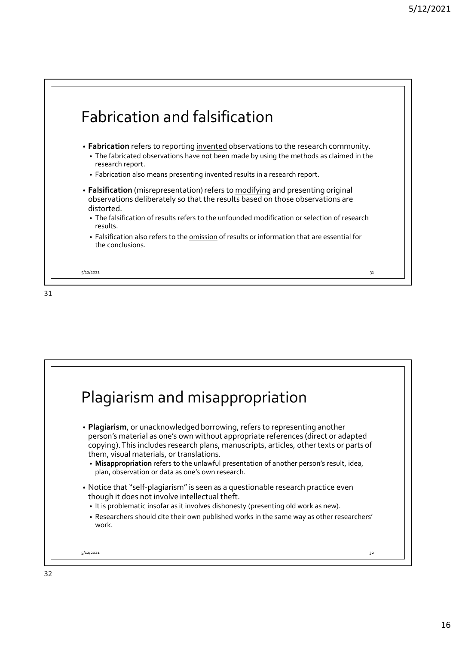



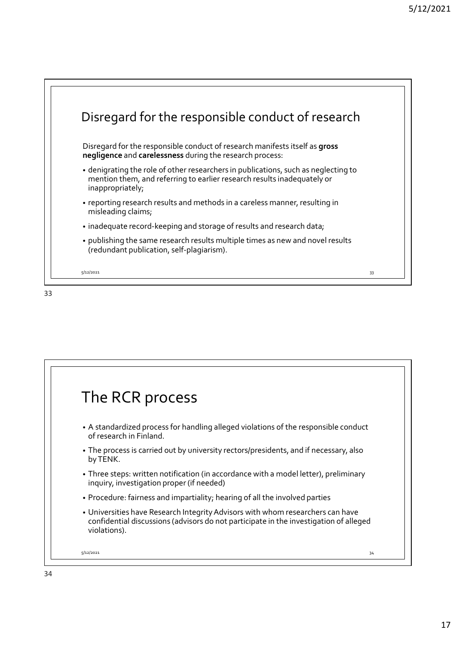



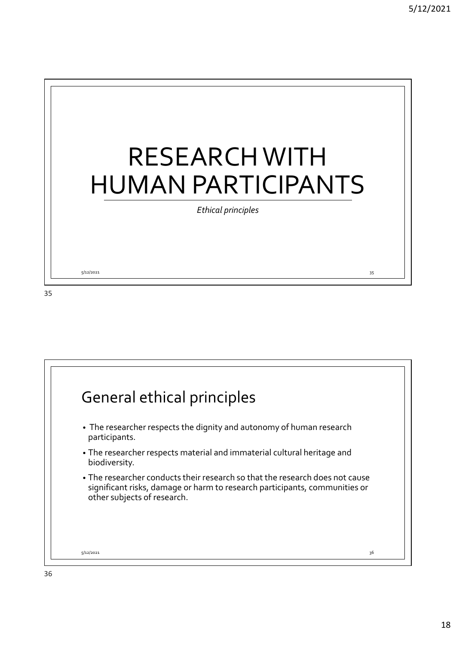

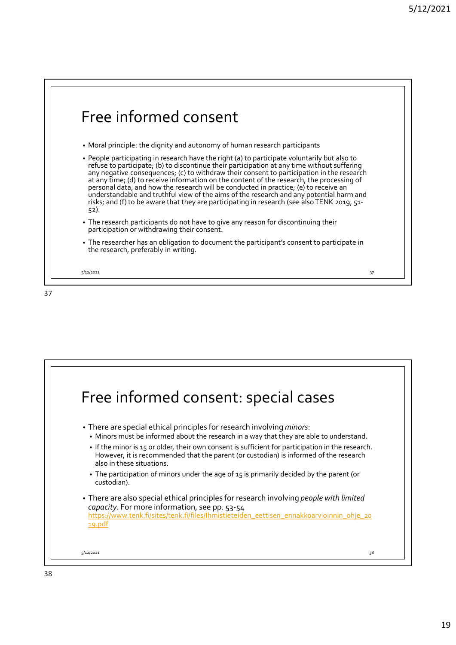



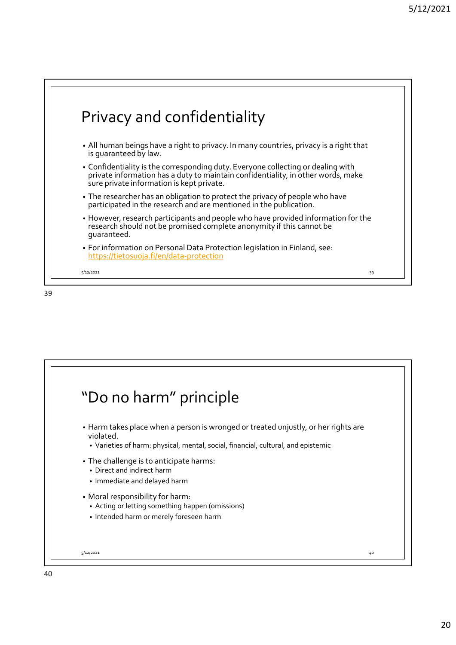

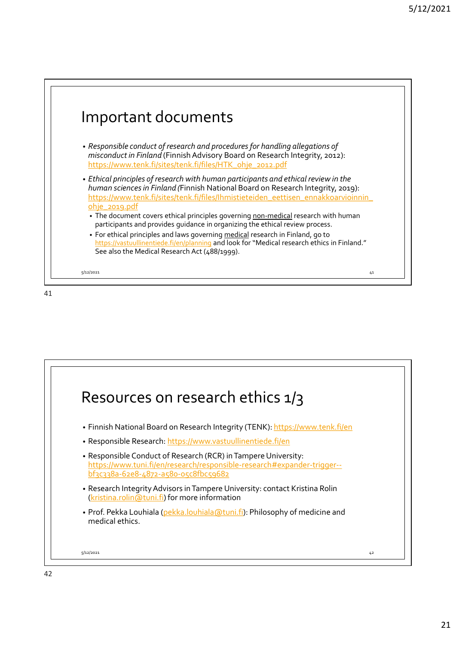